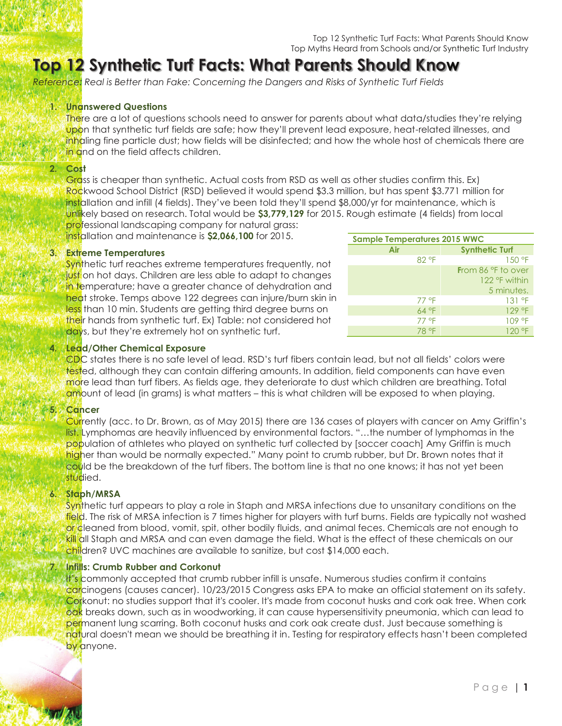# **Top 12 Synthetic Turf Facts: What Parents Should Know w**

*Reference: Real is Better than Fake: Concerning the Dangers and Risks of Synthetic Turf Fields*

#### **1. Unanswered Questions**

There are a lot of questions schools need to answer for parents about what data/studies they're relying upon that synthetic turf fields are safe; how they'll prevent lead exposure, heat-related illnesses, and inhaling fine particle dust; how fields will be disinfected; and how the whole host of chemicals there are in and on the field affects children.

## **2. Cost**

Grass is cheaper than synthetic. Actual costs from RSD as well as other studies confirm this. Ex) Rockwood School District (RSD) believed it would spend \$3.3 million, but has spent \$3.771 million for installation and infill (4 fields). They've been told they'll spend \$8,000/yr for maintenance, which is unlikely based on research. Total would be **\$3,779,129** for 2015. Rough estimate (4 fields) from local professional landscaping company for natural grass:

installation and maintenance is **\$2,066,100** for 2015.

#### **3. Extreme Temperatures**

Synthetic turf reaches extreme temperatures frequently, not just on hot days. Children are less able to adapt to changes in temperature; have a greater chance of dehydration and heat stroke. Temps above 122 degrees can injure/burn skin in less than 10 min. Students are getting third degree burns on their hands from synthetic turf. Ex) Table: not considered hot days, but they're extremely hot on synthetic turf.

| <b>Sample Temperatures 2015 WWC</b> |                       |
|-------------------------------------|-----------------------|
| Air                                 | <b>Synthetic Turf</b> |
| 82 °F                               | 150 °F                |
|                                     | From 86 °F to over    |
|                                     | 122 °F within         |
|                                     | 5 minutes.            |
| 77 °F                               | 131 °F                |
| 64 °F                               | 129 °F                |
| 77 °F                               | 109 °F                |
| 78 °F                               | 120 °F                |

# **4. Lead/Other Chemical Exposure**

CDC states there is no safe level of lead. RSD's turf fibers contain lead, but not all fields' colors were tested, although they can contain differing amounts. In addition, field components can have even more lead than turf fibers. As fields age, they deteriorate to dust which children are breathing. Total amount of lead (in grams) is what matters - this is what children will be exposed to when playing.

# **5. Cancer**

Currently (acc. to Dr. Brown, as of May 2015) there are 136 cases of players with cancer on Amy Griffin's list. Lymphomas are heavily influenced by environmental factors. "…the number of lymphomas in the population of athletes who played on synthetic turf collected by [soccer coach] Amy Griffin is much higher than would be normally expected." Many point to crumb rubber, but Dr. Brown notes that it could be the breakdown of the turf fibers. The bottom line is that no one knows; it has not yet been studied.

# **6. Staph/MRSA**

Synthetic turf appears to play a role in Staph and MRSA infections due to unsanitary conditions on the field. The risk of MRSA infection is 7 times higher for players with turf burns. Fields are typically not washed or cleaned from blood, vomit, spit, other bodily fluids, and animal feces. Chemicals are not enough to kill all Staph and MRSA and can even damage the field. What is the effect of these chemicals on our children? UVC machines are available to sanitize, but cost \$14,000 each.

# **Infills: Crumb Rubber and Corkonut**

It's commonly accepted that crumb rubber infill is unsafe. Numerous studies confirm it contains carcinogens (causes cancer). 10/23/2015 Congress asks EPA to make an official statement on its safety. Corkonut: no studies support that it's cooler. It's made from coconut husks and cork oak tree. When cork oak breaks down, such as in woodworking, it can cause hypersensitivity pneumonia, which can lead to permanent lung scarring. Both coconut husks and cork oak create dust. Just because something is natural doesn't mean we should be breathing it in. Testing for respiratory effects hasn't been completed by anyone.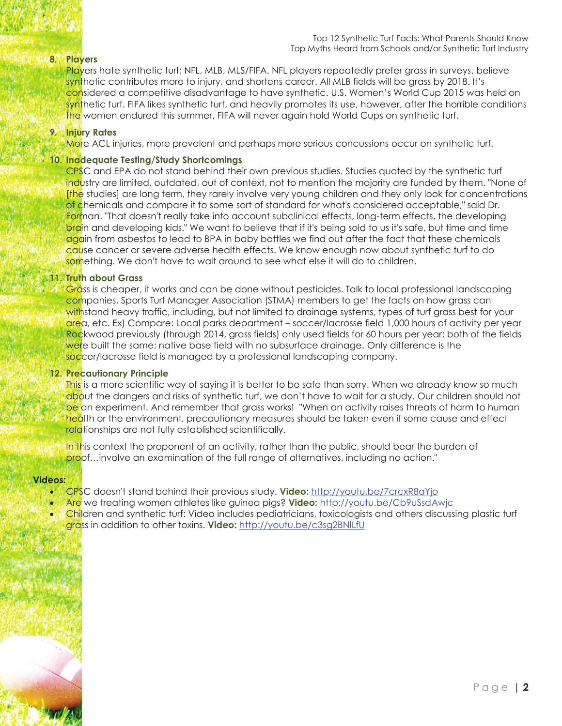#### Top 12 Synthetic Turf Facts: What Parents Should Know Top Myths Heard from Schools and/or Synthetic Turf Industry

## **8. Players**

Players hate synthetic turf: NFL, MLB, MLS/FIFA. NFL players repeatedly prefer grass in surveys, believe synthetic contributes more to injury, and shortens career. All MLB fields will be grass by 2018. It's considered a competitive disadvantage to have synthetic. U.S. Women's World Cup 2015 was held on synthetic turf. FIFA likes synthetic turf, and heavily promotes its use, however, after the horrible conditions the women endured this summer, FIFA will never again hold World Cups on synthetic turf.

#### **9. Injury Rates**

More ACL injuries, more prevalent and perhaps more serious concussions occur on synthetic turf.

#### **10. Inadequate Testing/Study Shortcomings**

CPSC and EPA do not stand behind their own previous studies. Studies quoted by the synthetic turf industry are limited, outdated, out of context, not to mention the majority are funded by them. "None of [the studies] are long term, they rarely involve very young children and they only look for concentrations of chemicals and compare it to some sort of standard for what's considered acceptable," said Dr. Forman. "That doesn't really take into account subclinical effects, long-term effects, the developing brain and developing kids." We want to believe that if it's being sold to us it's safe, but time and time again from asbestos to lead to BPA in baby bottles we find out after the fact that these chemicals cause cancer or severe adverse health effects. We know enough now about synthetic turf to do something. We don't have to wait around to see what else it will do to children.

#### **11. Truth about Grass**

Grass is cheaper, it works and can be done without pesticides. Talk to local professional landscaping companies, Sports Turf Manager Association (STMA) members to get the facts on how grass can withstand heavy traffic, including, but not limited to drainage systems, types of turf grass best for your area, etc. Ex) Compare: Local parks department – soccer/lacrosse field 1,000 hours of activity per year Rockwood previously (through 2014, grass fields) only used fields for 60 hours per year; both of the fields were built the same: native base field with no subsurface drainage. Only difference is the soccer/lacrosse field is managed by a professional landscaping company.

## **12. Precautionary Principle**

This is a more scientific way of saying it is better to be safe than sorry. When we already know so much about the dangers and risks of synthetic turf, we don't have to wait for a study. Our children should not be an experiment. And remember that grass works! "When an activity raises threats of harm to human health or the environment, precautionary measures should be taken even if some cause and effect relationships are not fully established scientifically.

In this context the proponent of an activity, rather than the public, should bear the burden of proof…involve an examination of the full range of alternatives, including no action."

#### **Videos:**

ì

- · CPSC doesn't stand behind their previous study. **Video:** http://youtu.be/7crcxR8aYjo
- · Are we treating women athletes like guinea pigs? **Video:** http://youtu.be/Cb9uSsdAwjc
- Children and synthetic turf: Video includes pediatricians, toxicologists and others discussing plastic turf grass in addition to other toxins. **Video:** http://youtu.be/c3sg2BNlLfU